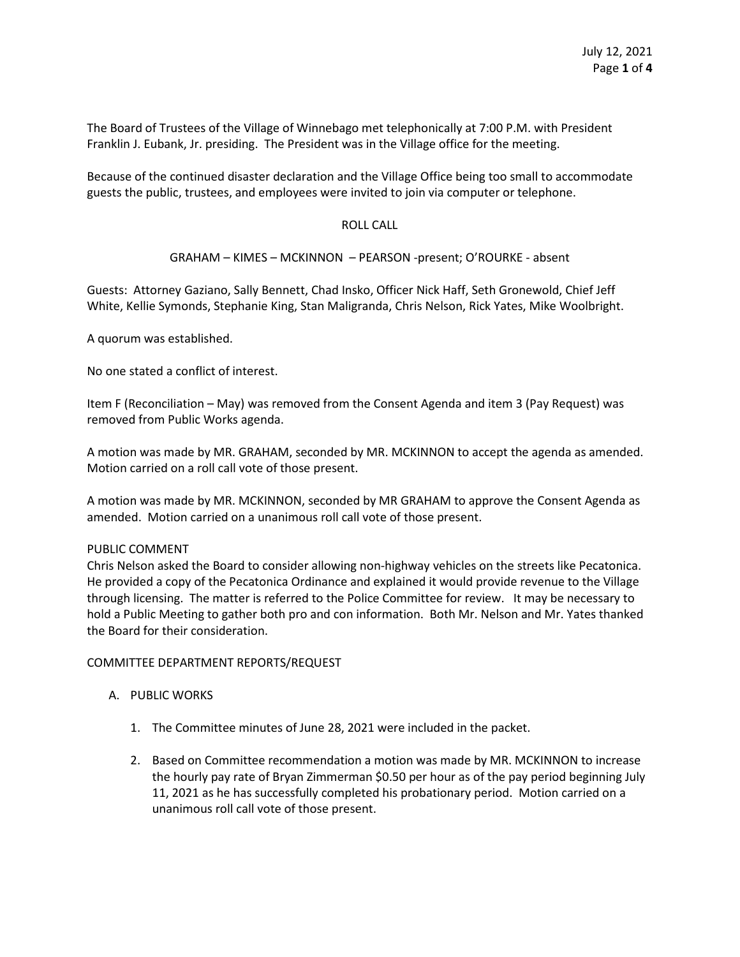The Board of Trustees of the Village of Winnebago met telephonically at 7:00 P.M. with President Franklin J. Eubank, Jr. presiding. The President was in the Village office for the meeting.

Because of the continued disaster declaration and the Village Office being too small to accommodate guests the public, trustees, and employees were invited to join via computer or telephone.

## ROLL CALL

# GRAHAM – KIMES – MCKINNON – PEARSON -present; O'ROURKE - absent

Guests: Attorney Gaziano, Sally Bennett, Chad Insko, Officer Nick Haff, Seth Gronewold, Chief Jeff White, Kellie Symonds, Stephanie King, Stan Maligranda, Chris Nelson, Rick Yates, Mike Woolbright.

A quorum was established.

No one stated a conflict of interest.

Item F (Reconciliation – May) was removed from the Consent Agenda and item 3 (Pay Request) was removed from Public Works agenda.

A motion was made by MR. GRAHAM, seconded by MR. MCKINNON to accept the agenda as amended. Motion carried on a roll call vote of those present.

A motion was made by MR. MCKINNON, seconded by MR GRAHAM to approve the Consent Agenda as amended. Motion carried on a unanimous roll call vote of those present.

#### PUBLIC COMMENT

Chris Nelson asked the Board to consider allowing non-highway vehicles on the streets like Pecatonica. He provided a copy of the Pecatonica Ordinance and explained it would provide revenue to the Village through licensing. The matter is referred to the Police Committee for review. It may be necessary to hold a Public Meeting to gather both pro and con information. Both Mr. Nelson and Mr. Yates thanked the Board for their consideration.

#### COMMITTEE DEPARTMENT REPORTS/REQUEST

# A. PUBLIC WORKS

- 1. The Committee minutes of June 28, 2021 were included in the packet.
- 2. Based on Committee recommendation a motion was made by MR. MCKINNON to increase the hourly pay rate of Bryan Zimmerman \$0.50 per hour as of the pay period beginning July 11, 2021 as he has successfully completed his probationary period. Motion carried on a unanimous roll call vote of those present.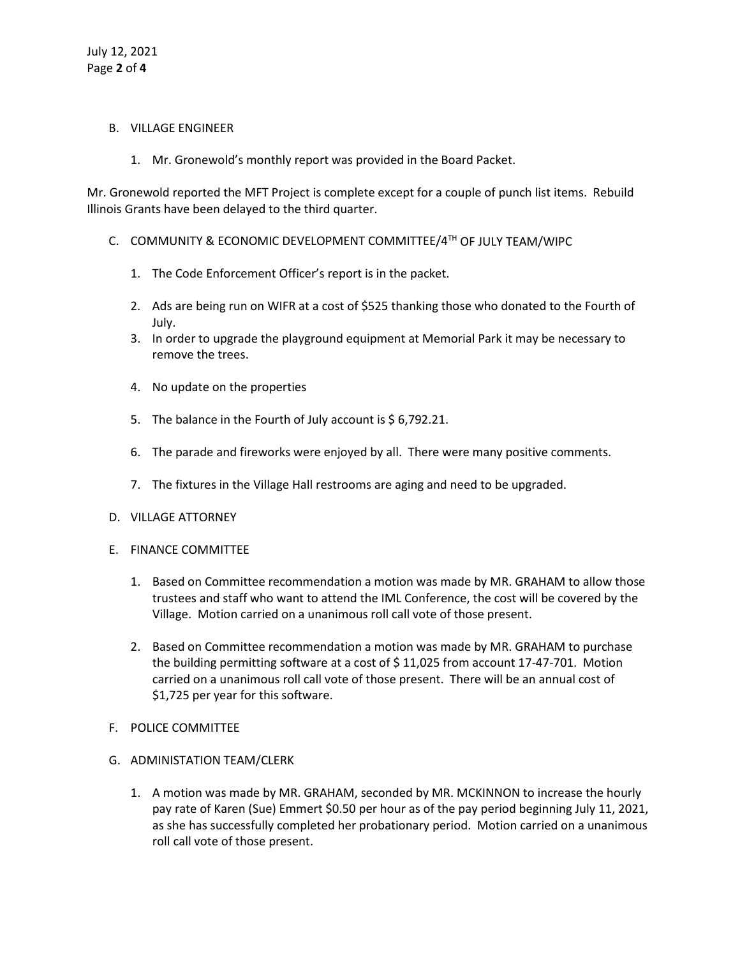#### B. VILLAGE ENGINEER

1. Mr. Gronewold's monthly report was provided in the Board Packet.

Mr. Gronewold reported the MFT Project is complete except for a couple of punch list items. Rebuild Illinois Grants have been delayed to the third quarter.

- C. COMMUNITY & ECONOMIC DEVELOPMENT COMMITTEE/4TH OF JULY TEAM/WIPC
	- 1. The Code Enforcement Officer's report is in the packet.
	- 2. Ads are being run on WIFR at a cost of \$525 thanking those who donated to the Fourth of July.
	- 3. In order to upgrade the playground equipment at Memorial Park it may be necessary to remove the trees.
	- 4. No update on the properties
	- 5. The balance in the Fourth of July account is \$6,792.21.
	- 6. The parade and fireworks were enjoyed by all. There were many positive comments.
	- 7. The fixtures in the Village Hall restrooms are aging and need to be upgraded.
- D. VILLAGE ATTORNEY
- E. FINANCE COMMITTEE
	- 1. Based on Committee recommendation a motion was made by MR. GRAHAM to allow those trustees and staff who want to attend the IML Conference, the cost will be covered by the Village. Motion carried on a unanimous roll call vote of those present.
	- 2. Based on Committee recommendation a motion was made by MR. GRAHAM to purchase the building permitting software at a cost of \$ 11,025 from account 17-47-701. Motion carried on a unanimous roll call vote of those present. There will be an annual cost of \$1,725 per year for this software.
- F. POLICE COMMITTEE
- G. ADMINISTATION TEAM/CLERK
	- 1. A motion was made by MR. GRAHAM, seconded by MR. MCKINNON to increase the hourly pay rate of Karen (Sue) Emmert \$0.50 per hour as of the pay period beginning July 11, 2021, as she has successfully completed her probationary period. Motion carried on a unanimous roll call vote of those present.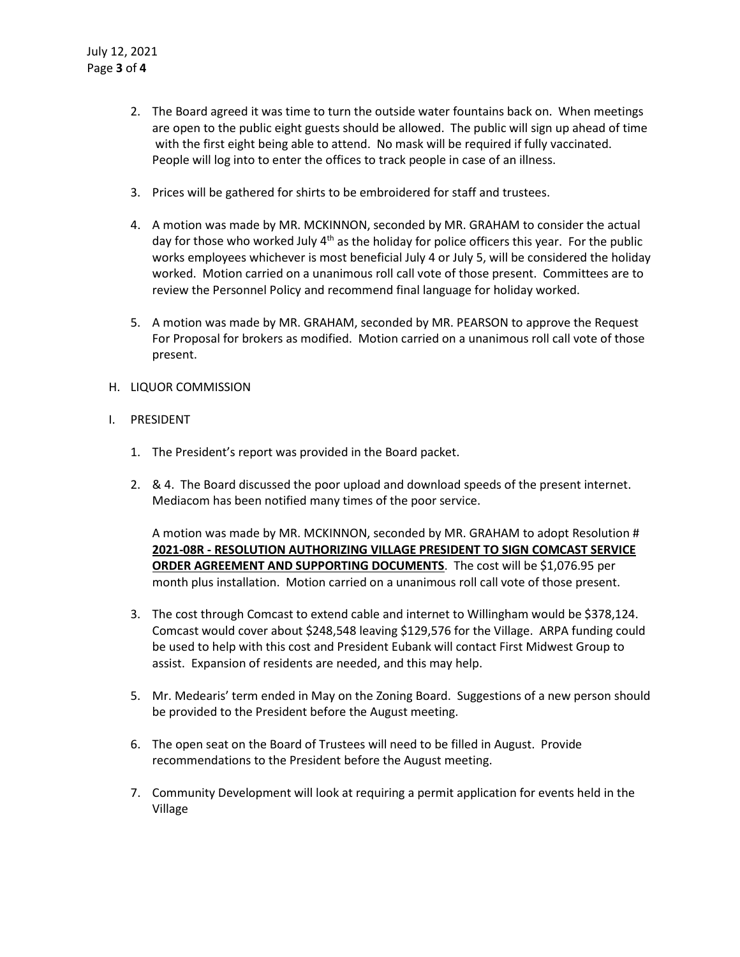- 2. The Board agreed it was time to turn the outside water fountains back on. When meetings are open to the public eight guests should be allowed. The public will sign up ahead of time with the first eight being able to attend. No mask will be required if fully vaccinated. People will log into to enter the offices to track people in case of an illness.
- 3. Prices will be gathered for shirts to be embroidered for staff and trustees.
- 4. A motion was made by MR. MCKINNON, seconded by MR. GRAHAM to consider the actual day for those who worked July  $4<sup>th</sup>$  as the holiday for police officers this year. For the public works employees whichever is most beneficial July 4 or July 5, will be considered the holiday worked. Motion carried on a unanimous roll call vote of those present. Committees are to review the Personnel Policy and recommend final language for holiday worked.
- 5. A motion was made by MR. GRAHAM, seconded by MR. PEARSON to approve the Request For Proposal for brokers as modified. Motion carried on a unanimous roll call vote of those present.

# H. LIQUOR COMMISSION

## I. PRESIDENT

- 1. The President's report was provided in the Board packet.
- 2. & 4. The Board discussed the poor upload and download speeds of the present internet. Mediacom has been notified many times of the poor service.

A motion was made by MR. MCKINNON, seconded by MR. GRAHAM to adopt Resolution # **2021-08R - RESOLUTION AUTHORIZING VILLAGE PRESIDENT TO SIGN COMCAST SERVICE ORDER AGREEMENT AND SUPPORTING DOCUMENTS**. The cost will be \$1,076.95 per month plus installation. Motion carried on a unanimous roll call vote of those present.

- 3. The cost through Comcast to extend cable and internet to Willingham would be \$378,124. Comcast would cover about \$248,548 leaving \$129,576 for the Village. ARPA funding could be used to help with this cost and President Eubank will contact First Midwest Group to assist. Expansion of residents are needed, and this may help.
- 5. Mr. Medearis' term ended in May on the Zoning Board. Suggestions of a new person should be provided to the President before the August meeting.
- 6. The open seat on the Board of Trustees will need to be filled in August. Provide recommendations to the President before the August meeting.
- 7. Community Development will look at requiring a permit application for events held in the Village